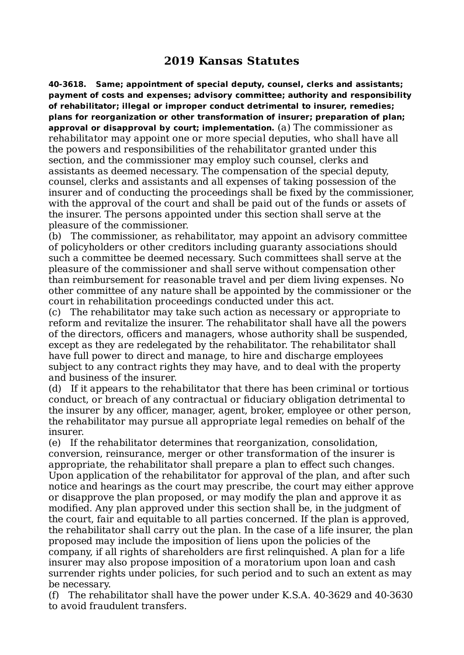## **2019 Kansas Statutes**

**40-3618. Same; appointment of special deputy, counsel, clerks and assistants; payment of costs and expenses; advisory committee; authority and responsibility of rehabilitator; illegal or improper conduct detrimental to insurer, remedies; plans for reorganization or other transformation of insurer; preparation of plan; approval or disapproval by court; implementation.** (a) The commissioner as rehabilitator may appoint one or more special deputies, who shall have all the powers and responsibilities of the rehabilitator granted under this section, and the commissioner may employ such counsel, clerks and assistants as deemed necessary. The compensation of the special deputy, counsel, clerks and assistants and all expenses of taking possession of the insurer and of conducting the proceedings shall be fixed by the commissioner, with the approval of the court and shall be paid out of the funds or assets of the insurer. The persons appointed under this section shall serve at the pleasure of the commissioner.

(b) The commissioner, as rehabilitator, may appoint an advisory committee of policyholders or other creditors including guaranty associations should such a committee be deemed necessary. Such committees shall serve at the pleasure of the commissioner and shall serve without compensation other than reimbursement for reasonable travel and per diem living expenses. No other committee of any nature shall be appointed by the commissioner or the court in rehabilitation proceedings conducted under this act.

(c) The rehabilitator may take such action as necessary or appropriate to reform and revitalize the insurer. The rehabilitator shall have all the powers of the directors, officers and managers, whose authority shall be suspended, except as they are redelegated by the rehabilitator. The rehabilitator shall have full power to direct and manage, to hire and discharge employees subject to any contract rights they may have, and to deal with the property and business of the insurer.

(d) If it appears to the rehabilitator that there has been criminal or tortious conduct, or breach of any contractual or fiduciary obligation detrimental to the insurer by any officer, manager, agent, broker, employee or other person, the rehabilitator may pursue all appropriate legal remedies on behalf of the insurer.

(e) If the rehabilitator determines that reorganization, consolidation, conversion, reinsurance, merger or other transformation of the insurer is appropriate, the rehabilitator shall prepare a plan to effect such changes. Upon application of the rehabilitator for approval of the plan, and after such notice and hearings as the court may prescribe, the court may either approve or disapprove the plan proposed, or may modify the plan and approve it as modified. Any plan approved under this section shall be, in the judgment of the court, fair and equitable to all parties concerned. If the plan is approved, the rehabilitator shall carry out the plan. In the case of a life insurer, the plan proposed may include the imposition of liens upon the policies of the company, if all rights of shareholders are first relinquished. A plan for a life insurer may also propose imposition of a moratorium upon loan and cash surrender rights under policies, for such period and to such an extent as may be necessary.

(f) The rehabilitator shall have the power under K.S.A. 40-3629 and 40-3630 to avoid fraudulent transfers.